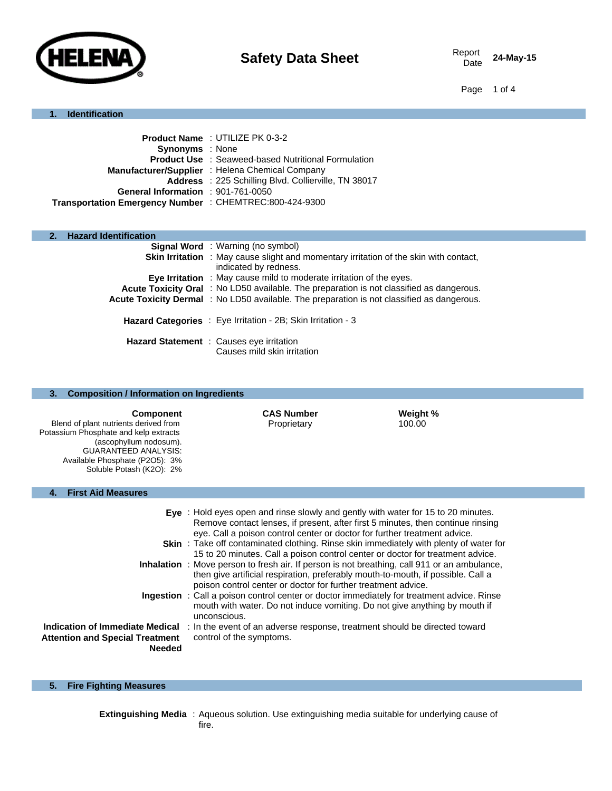

24-May-15

Page 1 of 4

## **1. Identification**

|                                                         | <b>Product Name: UTILIZE PK 0-3-2</b>                      |
|---------------------------------------------------------|------------------------------------------------------------|
| <b>Synonyms</b> : None                                  |                                                            |
|                                                         | <b>Product Use : Seaweed-based Nutritional Formulation</b> |
|                                                         | Manufacturer/Supplier: Helena Chemical Company             |
|                                                         | Address : 225 Schilling Blvd. Collierville, TN 38017       |
| General Information : 901-761-0050                      |                                                            |
| Transportation Emergency Number : CHEMTREC:800-424-9300 |                                                            |
|                                                         |                                                            |

## **2. Hazard Identification**

| <b>Signal Word</b> : Warning (no symbol)                                                                              |
|-----------------------------------------------------------------------------------------------------------------------|
| <b>Skin Irritation</b> : May cause slight and momentary irritation of the skin with contact,<br>indicated by redness. |
| Eye Irritation : May cause mild to moderate irritation of the eyes.                                                   |
| Acute Toxicity Oral: No LD50 available. The preparation is not classified as dangerous.                               |
| Acute Toxicity Dermal : No LD50 available. The preparation is not classified as dangerous.                            |
| Hazard Categories : Eye Irritation - 2B; Skin Irritation - 3                                                          |
| Hazard Statement : Causes eye irritation<br>Causes mild skin irritation                                               |

| 3.<br><b>Composition / Information on Ingredients</b>                                                                                                                                                                     |                                                                                                                                                                                                                                                                                                                                                                                                                                                                                                                                                                                                                                                                                                                                                                                                                                                                                            |  |  |  |  |
|---------------------------------------------------------------------------------------------------------------------------------------------------------------------------------------------------------------------------|--------------------------------------------------------------------------------------------------------------------------------------------------------------------------------------------------------------------------------------------------------------------------------------------------------------------------------------------------------------------------------------------------------------------------------------------------------------------------------------------------------------------------------------------------------------------------------------------------------------------------------------------------------------------------------------------------------------------------------------------------------------------------------------------------------------------------------------------------------------------------------------------|--|--|--|--|
| <b>Component</b><br>Blend of plant nutrients derived from<br>Potassium Phosphate and kelp extracts<br>(ascophyllum nodosum).<br><b>GUARANTEED ANALYSIS:</b><br>Available Phosphate (P2O5): 3%<br>Soluble Potash (K2O): 2% | <b>CAS Number</b><br>Weight %<br>Proprietary<br>100.00                                                                                                                                                                                                                                                                                                                                                                                                                                                                                                                                                                                                                                                                                                                                                                                                                                     |  |  |  |  |
| <b>First Aid Measures</b><br>4.                                                                                                                                                                                           |                                                                                                                                                                                                                                                                                                                                                                                                                                                                                                                                                                                                                                                                                                                                                                                                                                                                                            |  |  |  |  |
|                                                                                                                                                                                                                           | <b>Eye</b> : Hold eyes open and rinse slowly and gently with water for 15 to 20 minutes.<br>Remove contact lenses, if present, after first 5 minutes, then continue rinsing<br>eye. Call a poison control center or doctor for further treatment advice.<br><b>Skin</b> : Take off contaminated clothing. Rinse skin immediately with plenty of water for<br>15 to 20 minutes. Call a poison control center or doctor for treatment advice.<br><b>Inhalation</b> : Move person to fresh air. If person is not breathing, call 911 or an ambulance,<br>then give artificial respiration, preferably mouth-to-mouth, if possible. Call a<br>poison control center or doctor for further treatment advice.<br><b>Ingestion</b> : Call a poison control center or doctor immediately for treatment advice. Rinse<br>mouth with water. Do not induce vomiting. Do not give anything by mouth if |  |  |  |  |
| <b>Attention and Special Treatment</b><br><b>Needed</b>                                                                                                                                                                   | unconscious.<br>Indication of Immediate Medical: In the event of an adverse response, treatment should be directed toward<br>control of the symptoms.                                                                                                                                                                                                                                                                                                                                                                                                                                                                                                                                                                                                                                                                                                                                      |  |  |  |  |

## **5. Fire Fighting Measures**

**Extinguishing Media** : Aqueous solution. Use extinguishing media suitable for underlying cause of fire.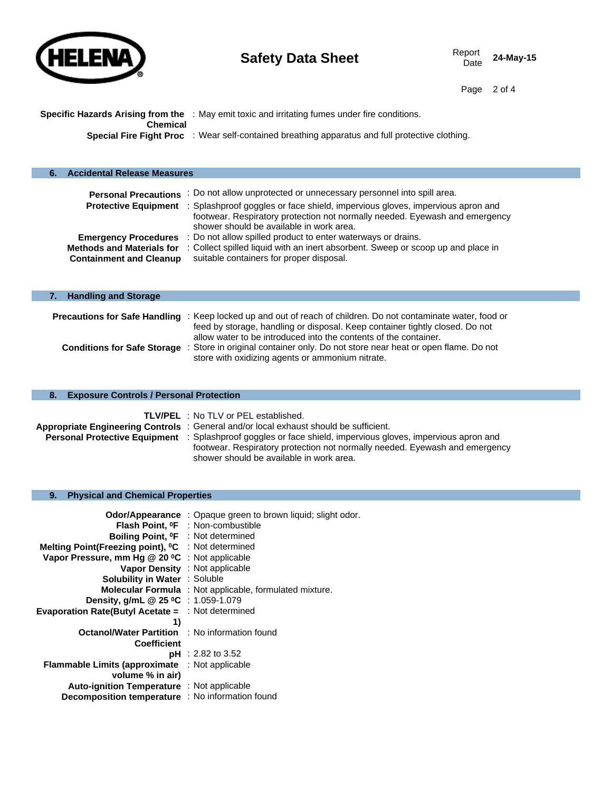

Page 2 of 4

|          | <b>Specific Hazards Arising from the</b> : May emit toxic and irritating fumes under fire conditions. |
|----------|-------------------------------------------------------------------------------------------------------|
| Chemical |                                                                                                       |
|          | Special Fire Fight Proc : Wear self-contained breathing apparatus and full protective clothing.       |

| <b>Accidental Release Measures</b>                                 |                                                                                                                                                                                                                               |
|--------------------------------------------------------------------|-------------------------------------------------------------------------------------------------------------------------------------------------------------------------------------------------------------------------------|
| <b>Personal Precautions</b>                                        | : Do not allow unprotected or unnecessary personnel into spill area.                                                                                                                                                          |
|                                                                    | Protective Equipment : Splashproof goggles or face shield, impervious gloves, impervious apron and<br>footwear. Respiratory protection not normally needed. Eyewash and emergency<br>shower should be available in work area. |
| <b>Emergency Procedures</b>                                        | : Do not allow spilled product to enter waterways or drains.                                                                                                                                                                  |
| <b>Methods and Materials for</b><br><b>Containment and Cleanup</b> | : Collect spilled liquid with an inert absorbent. Sweep or scoop up and place in<br>suitable containers for proper disposal.                                                                                                  |
|                                                                    |                                                                                                                                                                                                                               |

| <b>Handling and Storage</b>        |                                                                                                                                                                                                          |
|------------------------------------|----------------------------------------------------------------------------------------------------------------------------------------------------------------------------------------------------------|
|                                    | <b>Precautions for Safe Handling</b> : Keep locked up and out of reach of children. Do not contaminate water, food or<br>feed by storage, handling or disposal. Keep container tightly closed. Do not    |
| <b>Conditions for Safe Storage</b> | allow water to be introduced into the contents of the container.<br>: Store in original container only. Do not store near heat or open flame. Do not<br>store with oxidizing agents or ammonium nitrate. |

|  |  | 8. Exposure Controls / Personal Protection |  |  |  |
|--|--|--------------------------------------------|--|--|--|
|--|--|--------------------------------------------|--|--|--|

| <b>TLV/PEL</b> : No TLV or PEL established.                                                                        |
|--------------------------------------------------------------------------------------------------------------------|
| Appropriate Engineering Controls: General and/or local exhaust should be sufficient.                               |
| <b>Personal Protective Equipment</b> : Splashproof goggles or face shield, impervious gloves, impervious apron and |
| footwear. Respiratory protection not normally needed. Eyewash and emergency                                        |
| shower should be available in work area.                                                                           |

# **9. Physical and Chemical Properties**

|                                                                | <b>Odor/Appearance</b> : Opaque green to brown liquid; slight odor. |
|----------------------------------------------------------------|---------------------------------------------------------------------|
|                                                                | Flash Point, <sup>o</sup> F : Non-combustible                       |
| Boiling Point, <sup>o</sup> F : Not determined                 |                                                                     |
| Melting Point(Freezing point), <sup>o</sup> C : Not determined |                                                                     |
| Vapor Pressure, mm Hg @ 20 °C : Not applicable                 |                                                                     |
| <b>Vapor Density</b> : Not applicable                          |                                                                     |
| <b>Solubility in Water : Soluble</b>                           |                                                                     |
|                                                                | <b>Molecular Formula</b> : Not applicable, formulated mixture.      |
| Density, g/mL @ 25 °C : 1.059-1.079                            |                                                                     |
| <b>Evaporation Rate(Butyl Acetate = : Not determined</b>       |                                                                     |
| 1)                                                             |                                                                     |
| <b>Octanol/Water Partition : No information found</b>          |                                                                     |
| <b>Coefficient</b>                                             |                                                                     |
|                                                                | $pH : 2.82$ to 3.52                                                 |
| <b>Flammable Limits (approximate</b> : Not applicable          |                                                                     |
| volume % in air)                                               |                                                                     |
| <b>Auto-ignition Temperature</b> : Not applicable              |                                                                     |
| Decomposition temperature : No information found               |                                                                     |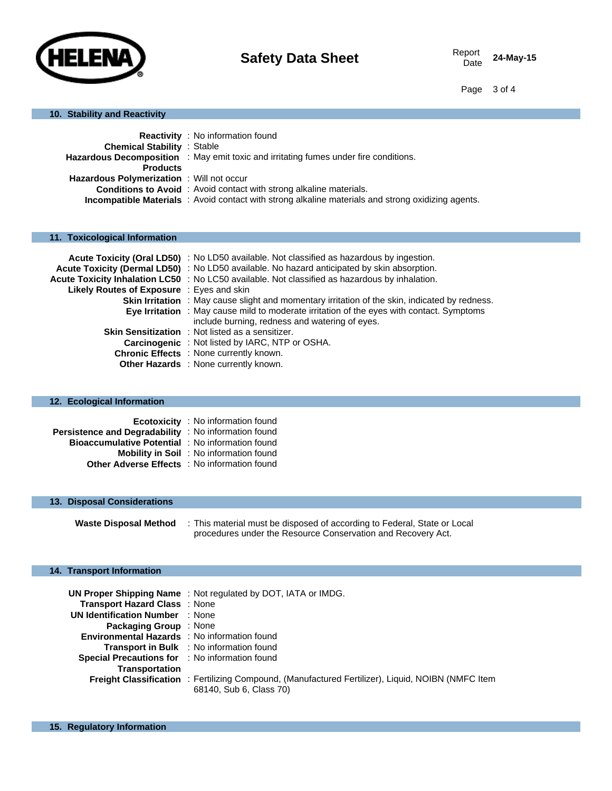

Date **24-May-15**

Page 3 of 4

## **10. Stability and Reactivity**

|                                          | <b>Reactivity</b> : No information found                                                                  |
|------------------------------------------|-----------------------------------------------------------------------------------------------------------|
| <b>Chemical Stability : Stable</b>       |                                                                                                           |
|                                          | Hazardous Decomposition : May emit toxic and irritating fumes under fire conditions.                      |
| <b>Products</b>                          |                                                                                                           |
| Hazardous Polymerization: Will not occur |                                                                                                           |
|                                          | <b>Conditions to Avoid</b> : Avoid contact with strong alkaline materials.                                |
|                                          | <b>Incompatible Materials</b> : Avoid contact with strong alkaline materials and strong oxidizing agents. |

## **11. Toxicological Information**

|                                           | Acute Toxicity (Oral LD50) : No LD50 available. Not classified as hazardous by ingestion.             |
|-------------------------------------------|-------------------------------------------------------------------------------------------------------|
|                                           | Acute Toxicity (Dermal LD50) : No LD50 available. No hazard anticipated by skin absorption.           |
|                                           | Acute Toxicity Inhalation LC50 : No LC50 available. Not classified as hazardous by inhalation.        |
| Likely Routes of Exposure : Eyes and skin |                                                                                                       |
|                                           | <b>Skin Irritation</b> : May cause slight and momentary irritation of the skin, indicated by redness. |
|                                           | <b>Eye Irritation</b> : May cause mild to moderate irritation of the eyes with contact. Symptoms      |
|                                           | include burning, redness and watering of eyes.                                                        |
|                                           | <b>Skin Sensitization</b> : Not listed as a sensitizer.                                               |
|                                           | <b>Carcinogenic</b> : Not listed by IARC, NTP or OSHA.                                                |
|                                           | <b>Chronic Effects</b> : None currently known.                                                        |
|                                           | Other Hazards : None currently known.                                                                 |

#### **12. Ecological Information**

|                                                             | <b>Ecotoxicity</b> : No information found      |
|-------------------------------------------------------------|------------------------------------------------|
| <b>Persistence and Degradability</b> : No information found |                                                |
| <b>Bioaccumulative Potential : No information found</b>     |                                                |
|                                                             | <b>Mobility in Soil</b> : No information found |
| <b>Other Adverse Effects</b> : No information found         |                                                |

#### **13. Disposal Considerations**

**Waste Disposal Method** : This material must be disposed of according to Federal, State or Local procedures under the Resource Conservation and Recovery Act.

## **14. Transport Information**

|                                                | <b>UN Proper Shipping Name</b> : Not regulated by DOT, IATA or IMDG.                                      |
|------------------------------------------------|-----------------------------------------------------------------------------------------------------------|
| <b>Transport Hazard Class</b> : None           |                                                                                                           |
| <b>UN Identification Number</b> : None         |                                                                                                           |
| <b>Packaging Group</b> : None                  |                                                                                                           |
| Environmental Hazards : No information found   |                                                                                                           |
|                                                | <b>Transport in Bulk</b> : No information found                                                           |
| Special Precautions for : No information found |                                                                                                           |
| Transportation                                 |                                                                                                           |
|                                                | <b>Freight Classification</b> : Fertilizing Compound, (Manufactured Fertilizer), Liquid, NOIBN (NMFC Item |
|                                                | 68140, Sub 6, Class 70)                                                                                   |